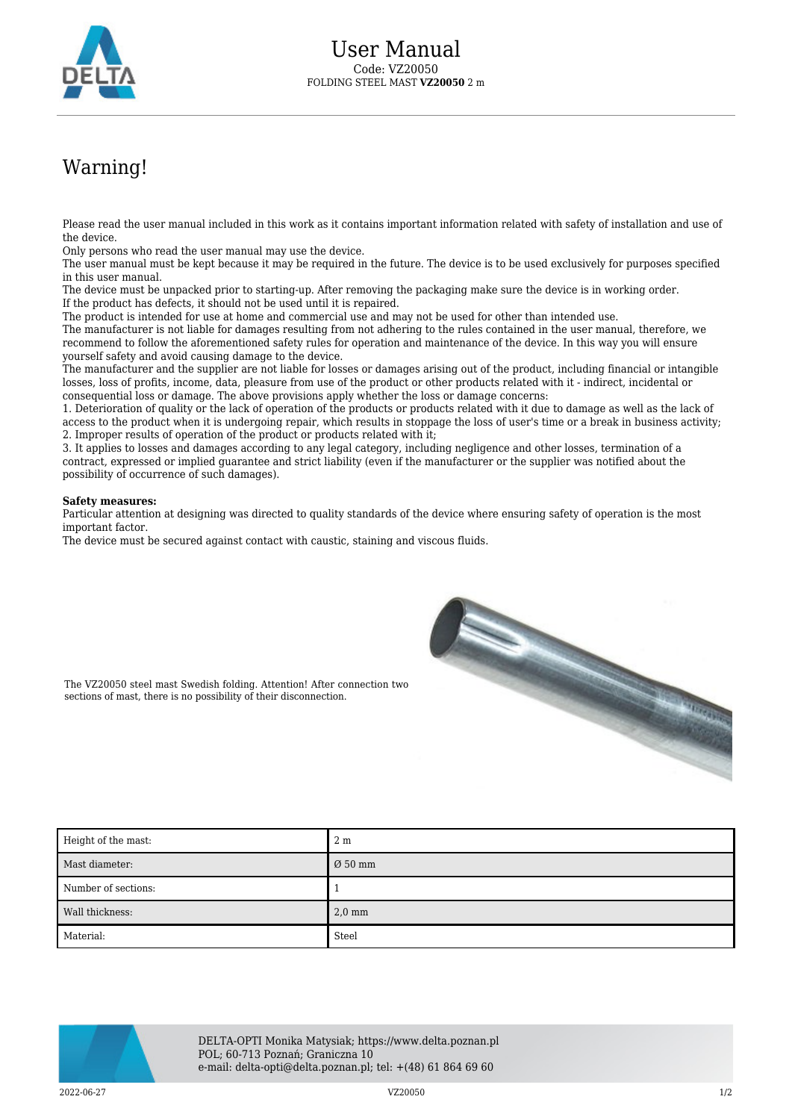

## Warning!

Please read the user manual included in this work as it contains important information related with safety of installation and use of the device.

Only persons who read the user manual may use the device.

The user manual must be kept because it may be required in the future. The device is to be used exclusively for purposes specified in this user manual.

The device must be unpacked prior to starting-up. After removing the packaging make sure the device is in working order. If the product has defects, it should not be used until it is repaired.

The product is intended for use at home and commercial use and may not be used for other than intended use.

The manufacturer is not liable for damages resulting from not adhering to the rules contained in the user manual, therefore, we recommend to follow the aforementioned safety rules for operation and maintenance of the device. In this way you will ensure yourself safety and avoid causing damage to the device.

The manufacturer and the supplier are not liable for losses or damages arising out of the product, including financial or intangible losses, loss of profits, income, data, pleasure from use of the product or other products related with it - indirect, incidental or consequential loss or damage. The above provisions apply whether the loss or damage concerns:

1. Deterioration of quality or the lack of operation of the products or products related with it due to damage as well as the lack of access to the product when it is undergoing repair, which results in stoppage the loss of user's time or a break in business activity; 2. Improper results of operation of the product or products related with it;

3. It applies to losses and damages according to any legal category, including negligence and other losses, termination of a contract, expressed or implied guarantee and strict liability (even if the manufacturer or the supplier was notified about the possibility of occurrence of such damages).

## **Safety measures:**

Particular attention at designing was directed to quality standards of the device where ensuring safety of operation is the most important factor.

The device must be secured against contact with caustic, staining and viscous fluids.



The VZ20050 steel mast Swedish folding. Attention! After connection two sections of mast, there is no possibility of their disconnection.

| Height of the mast: | 2 <sub>m</sub>      |
|---------------------|---------------------|
| Mast diameter:      | $\varnothing$ 50 mm |
| Number of sections: |                     |
| Wall thickness:     | $2,0$ mm            |
| Material:           | Steel               |



DELTA-OPTI Monika Matysiak; https://www.delta.poznan.pl POL; 60-713 Poznań; Graniczna 10 e-mail: delta-opti@delta.poznan.pl; tel: +(48) 61 864 69 60